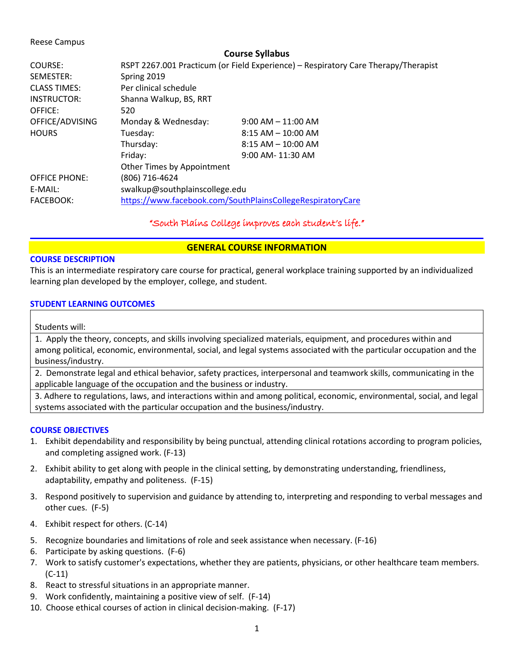### Reese Campus

### **Course Syllabus**

| COURSE:<br>SEMESTER:<br><b>CLASS TIMES:</b><br><b>INSTRUCTOR:</b> | Spring 2019<br>Per clinical schedule<br>Shanna Walkup, BS, RRT | RSPT 2267.001 Practicum (or Field Experience) - Respiratory Care Therapy/Therapist |  |
|-------------------------------------------------------------------|----------------------------------------------------------------|------------------------------------------------------------------------------------|--|
| OFFICE:                                                           | 520                                                            |                                                                                    |  |
| OFFICE/ADVISING                                                   | Monday & Wednesday:                                            | $9:00$ AM $-11:00$ AM                                                              |  |
| <b>HOURS</b>                                                      | Tuesday:                                                       | $8:15$ AM $-$ 10:00 AM                                                             |  |
|                                                                   | Thursday:                                                      | $8:15$ AM $-$ 10:00 AM                                                             |  |
|                                                                   | Friday:                                                        | $9:00$ AM- $11:30$ AM                                                              |  |
|                                                                   | Other Times by Appointment                                     |                                                                                    |  |
| <b>OFFICE PHONE:</b>                                              | (806) 716-4624                                                 |                                                                                    |  |
| E-MAIL:                                                           | swalkup@southplainscollege.edu                                 |                                                                                    |  |
| FACEBOOK:                                                         | https://www.facebook.com/SouthPlainsCollegeRespiratoryCare     |                                                                                    |  |

# "South Plains College improves each student's life."

# **GENERAL COURSE INFORMATION**

### **COURSE DESCRIPTION**

This is an intermediate respiratory care course for practical, general workplace training supported by an individualized learning plan developed by the employer, college, and student.

### **STUDENT LEARNING OUTCOMES**

### Students will:

1. Apply the theory, concepts, and skills involving specialized materials, equipment, and procedures within and among political, economic, environmental, social, and legal systems associated with the particular occupation and the business/industry.

2. Demonstrate legal and ethical behavior, safety practices, interpersonal and teamwork skills, communicating in the applicable language of the occupation and the business or industry.

3. Adhere to regulations, laws, and interactions within and among political, economic, environmental, social, and legal systems associated with the particular occupation and the business/industry.

### **COURSE OBJECTIVES**

- 1. Exhibit dependability and responsibility by being punctual, attending clinical rotations according to program policies, and completing assigned work. (F-13)
- 2. Exhibit ability to get along with people in the clinical setting, by demonstrating understanding, friendliness, adaptability, empathy and politeness. (F-15)
- 3. Respond positively to supervision and guidance by attending to, interpreting and responding to verbal messages and other cues. (F-5)
- 4. Exhibit respect for others. (C-14)
- 5. Recognize boundaries and limitations of role and seek assistance when necessary. (F-16)
- 6. Participate by asking questions. (F-6)
- 7. Work to satisfy customer's expectations, whether they are patients, physicians, or other healthcare team members. (C-11)
- 8. React to stressful situations in an appropriate manner.
- 9. Work confidently, maintaining a positive view of self. (F-14)
- 10. Choose ethical courses of action in clinical decision-making. (F-17)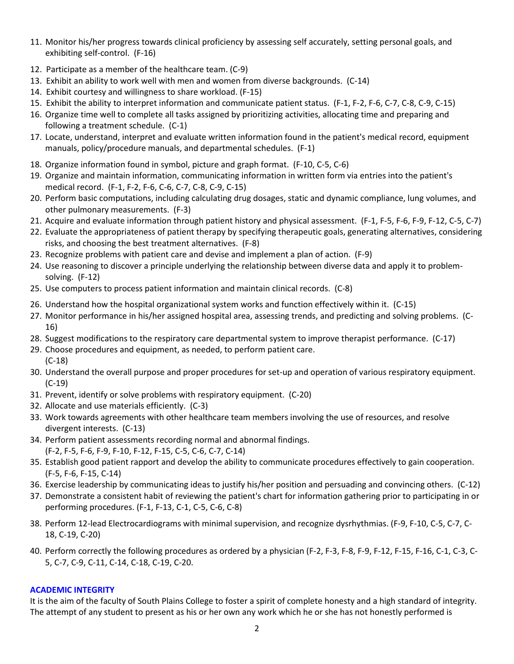- 11. Monitor his/her progress towards clinical proficiency by assessing self accurately, setting personal goals, and exhibiting self-control. (F-16)
- 12. Participate as a member of the healthcare team. (C-9)
- 13. Exhibit an ability to work well with men and women from diverse backgrounds. (C-14)
- 14. Exhibit courtesy and willingness to share workload. (F-15)
- 15. Exhibit the ability to interpret information and communicate patient status. (F-1, F-2, F-6, C-7, C-8, C-9, C-15)
- 16. Organize time well to complete all tasks assigned by prioritizing activities, allocating time and preparing and following a treatment schedule. (C-1)
- 17. Locate, understand, interpret and evaluate written information found in the patient's medical record, equipment manuals, policy/procedure manuals, and departmental schedules. (F-1)
- 18. Organize information found in symbol, picture and graph format. (F-10, C-5, C-6)
- 19. Organize and maintain information, communicating information in written form via entries into the patient's medical record. (F-1, F-2, F-6, C-6, C-7, C-8, C-9, C-15)
- 20. Perform basic computations, including calculating drug dosages, static and dynamic compliance, lung volumes, and other pulmonary measurements. (F-3)
- 21. Acquire and evaluate information through patient history and physical assessment. (F-1, F-5, F-6, F-9, F-12, C-5, C-7)
- 22. Evaluate the appropriateness of patient therapy by specifying therapeutic goals, generating alternatives, considering risks, and choosing the best treatment alternatives. (F-8)
- 23. Recognize problems with patient care and devise and implement a plan of action. (F-9)
- 24. Use reasoning to discover a principle underlying the relationship between diverse data and apply it to problemsolving. (F-12)
- 25. Use computers to process patient information and maintain clinical records. (C-8)
- 26. Understand how the hospital organizational system works and function effectively within it. (C-15)
- 27. Monitor performance in his/her assigned hospital area, assessing trends, and predicting and solving problems. (C-16)
- 28. Suggest modifications to the respiratory care departmental system to improve therapist performance. (C-17)
- 29. Choose procedures and equipment, as needed, to perform patient care. (C-18)
- 30. Understand the overall purpose and proper procedures for set-up and operation of various respiratory equipment. (C-19)
- 31. Prevent, identify or solve problems with respiratory equipment. (C-20)
- 32. Allocate and use materials efficiently. (C-3)
- 33. Work towards agreements with other healthcare team members involving the use of resources, and resolve divergent interests. (C-13)
- 34. Perform patient assessments recording normal and abnormal findings. (F-2, F-5, F-6, F-9, F-10, F-12, F-15, C-5, C-6, C-7, C-14)
- 35. Establish good patient rapport and develop the ability to communicate procedures effectively to gain cooperation. (F-5, F-6, F-15, C-14)
- 36. Exercise leadership by communicating ideas to justify his/her position and persuading and convincing others. (C-12)
- 37. Demonstrate a consistent habit of reviewing the patient's chart for information gathering prior to participating in or performing procedures. (F-1, F-13, C-1, C-5, C-6, C-8)
- 38. Perform 12-lead Electrocardiograms with minimal supervision, and recognize dysrhythmias. (F-9, F-10, C-5, C-7, C-18, C-19, C-20)
- 40. Perform correctly the following procedures as ordered by a physician (F-2, F-3, F-8, F-9, F-12, F-15, F-16, C-1, C-3, C-5, C-7, C-9, C-11, C-14, C-18, C-19, C-20.

# **ACADEMIC INTEGRITY**

It is the aim of the faculty of South Plains College to foster a spirit of complete honesty and a high standard of integrity. The attempt of any student to present as his or her own any work which he or she has not honestly performed is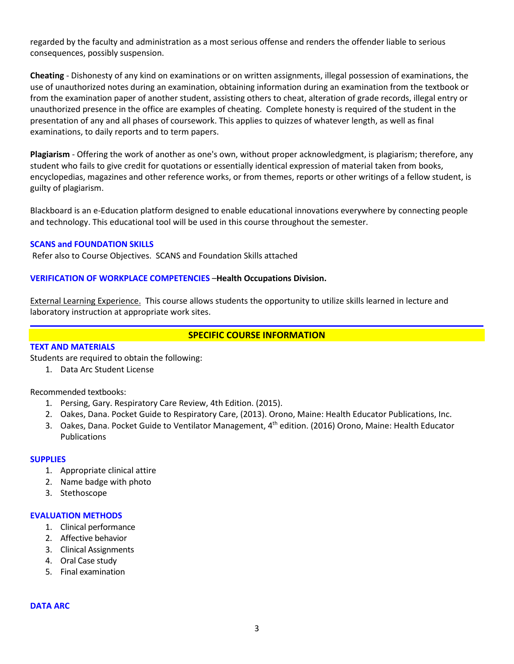regarded by the faculty and administration as a most serious offense and renders the offender liable to serious consequences, possibly suspension.

**Cheating** - Dishonesty of any kind on examinations or on written assignments, illegal possession of examinations, the use of unauthorized notes during an examination, obtaining information during an examination from the textbook or from the examination paper of another student, assisting others to cheat, alteration of grade records, illegal entry or unauthorized presence in the office are examples of cheating. Complete honesty is required of the student in the presentation of any and all phases of coursework. This applies to quizzes of whatever length, as well as final examinations, to daily reports and to term papers.

**Plagiarism** - Offering the work of another as one's own, without proper acknowledgment, is plagiarism; therefore, any student who fails to give credit for quotations or essentially identical expression of material taken from books, encyclopedias, magazines and other reference works, or from themes, reports or other writings of a fellow student, is guilty of plagiarism.

Blackboard is an e-Education platform designed to enable educational innovations everywhere by connecting people and technology. This educational tool will be used in this course throughout the semester.

### **SCANS and FOUNDATION SKILLS**

Refer also to Course Objectives. SCANS and Foundation Skills attached

### **VERIFICATION OF WORKPLACE COMPETENCIES** –**Health Occupations Division.**

External Learning Experience. This course allows students the opportunity to utilize skills learned in lecture and laboratory instruction at appropriate work sites.

# **SPECIFIC COURSE INFORMATION**

# **TEXT AND MATERIALS**

Students are required to obtain the following:

1. Data Arc Student License

Recommended textbooks:

- 1. Persing, Gary. Respiratory Care Review, 4th Edition. (2015).
- 2. Oakes, Dana. Pocket Guide to Respiratory Care, (2013). Orono, Maine: Health Educator Publications, Inc.
- 3. Oakes, Dana. Pocket Guide to Ventilator Management, 4th edition. (2016) Orono, Maine: Health Educator Publications

### **SUPPLIES**

- 1. Appropriate clinical attire
- 2. Name badge with photo
- 3. Stethoscope

### **EVALUATION METHODS**

- 1. Clinical performance
- 2. Affective behavior
- 3. Clinical Assignments
- 4. Oral Case study
- 5. Final examination

### **DATA ARC**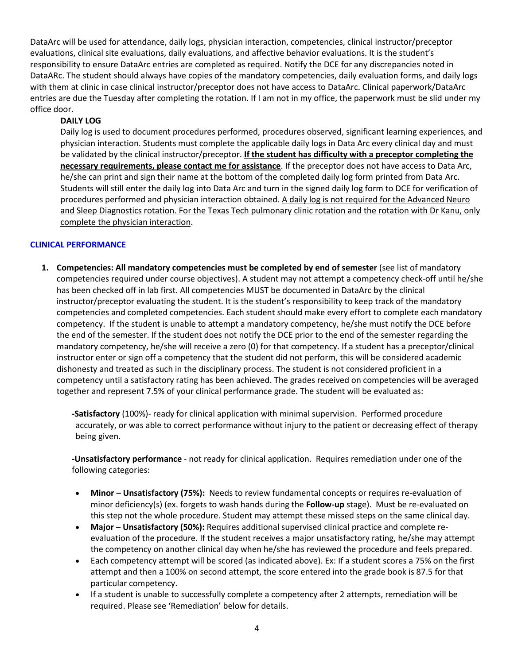DataArc will be used for attendance, daily logs, physician interaction, competencies, clinical instructor/preceptor evaluations, clinical site evaluations, daily evaluations, and affective behavior evaluations. It is the student's responsibility to ensure DataArc entries are completed as required. Notify the DCE for any discrepancies noted in DataARc. The student should always have copies of the mandatory competencies, daily evaluation forms, and daily logs with them at clinic in case clinical instructor/preceptor does not have access to DataArc. Clinical paperwork/DataArc entries are due the Tuesday after completing the rotation. If I am not in my office, the paperwork must be slid under my office door.

# **DAILY LOG**

Daily log is used to document procedures performed, procedures observed, significant learning experiences, and physician interaction. Students must complete the applicable daily logs in Data Arc every clinical day and must be validated by the clinical instructor/preceptor. **If the student has difficulty with a preceptor completing the necessary requirements, please contact me for assistance**. If the preceptor does not have access to Data Arc, he/she can print and sign their name at the bottom of the completed daily log form printed from Data Arc. Students will still enter the daily log into Data Arc and turn in the signed daily log form to DCE for verification of procedures performed and physician interaction obtained. A daily log is not required for the Advanced Neuro and Sleep Diagnostics rotation. For the Texas Tech pulmonary clinic rotation and the rotation with Dr Kanu, only complete the physician interaction.

# **CLINICAL PERFORMANCE**

**1. Competencies: All mandatory competencies must be completed by end of semester** (see list of mandatory competencies required under course objectives). A student may not attempt a competency check-off until he/she has been checked off in lab first. All competencies MUST be documented in DataArc by the clinical instructor/preceptor evaluating the student. It is the student's responsibility to keep track of the mandatory competencies and completed competencies. Each student should make every effort to complete each mandatory competency. If the student is unable to attempt a mandatory competency, he/she must notify the DCE before the end of the semester. If the student does not notify the DCE prior to the end of the semester regarding the mandatory competency, he/she will receive a zero (0) for that competency. If a student has a preceptor/clinical instructor enter or sign off a competency that the student did not perform, this will be considered academic dishonesty and treated as such in the disciplinary process. The student is not considered proficient in a competency until a satisfactory rating has been achieved. The grades received on competencies will be averaged together and represent 7.5% of your clinical performance grade. The student will be evaluated as:

**-Satisfactory** (100%)- ready for clinical application with minimal supervision. Performed procedure accurately, or was able to correct performance without injury to the patient or decreasing effect of therapy being given.

**-Unsatisfactory performance** - not ready for clinical application. Requires remediation under one of the following categories:

- **Minor – Unsatisfactory (75%):** Needs to review fundamental concepts or requires re-evaluation of minor deficiency(s) (ex. forgets to wash hands during the **Follow-up** stage). Must be re-evaluated on this step not the whole procedure. Student may attempt these missed steps on the same clinical day.
- **Major – Unsatisfactory (50%):** Requires additional supervised clinical practice and complete reevaluation of the procedure. If the student receives a major unsatisfactory rating, he/she may attempt the competency on another clinical day when he/she has reviewed the procedure and feels prepared.
- Each competency attempt will be scored (as indicated above). Ex: If a student scores a 75% on the first attempt and then a 100% on second attempt, the score entered into the grade book is 87.5 for that particular competency.
- If a student is unable to successfully complete a competency after 2 attempts, remediation will be required. Please see 'Remediation' below for details.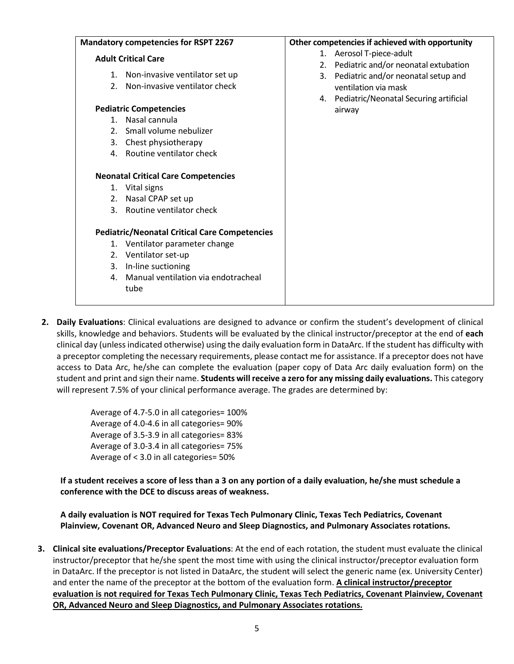| <b>Mandatory competencies for RSPT 2267</b>                                                                                                                                                     | Other competencies if achieved with opportunity                                                                       |  |
|-------------------------------------------------------------------------------------------------------------------------------------------------------------------------------------------------|-----------------------------------------------------------------------------------------------------------------------|--|
| <b>Adult Critical Care</b>                                                                                                                                                                      | 1. Aerosol T-piece-adult<br>2. Pediatric and/or neonatal extubation                                                   |  |
| Non-invasive ventilator set up<br>1.<br>Non-invasive ventilator check<br>2 <sub>1</sub><br><b>Pediatric Competencies</b>                                                                        | 3. Pediatric and/or neonatal setup and<br>ventilation via mask<br>4. Pediatric/Neonatal Securing artificial<br>airway |  |
| 1. Nasal cannula<br>Small volume nebulizer<br>2.<br>Chest physiotherapy<br>3.<br>Routine ventilator check<br>4.                                                                                 |                                                                                                                       |  |
| <b>Neonatal Critical Care Competencies</b><br>1. Vital signs<br>Nasal CPAP set up<br>2.<br>3. Routine ventilator check                                                                          |                                                                                                                       |  |
| <b>Pediatric/Neonatal Critical Care Competencies</b><br>1. Ventilator parameter change<br>2. Ventilator set-up<br>In-line suctioning<br>3.<br>Manual ventilation via endotracheal<br>4.<br>tube |                                                                                                                       |  |

**2. Daily Evaluations**: Clinical evaluations are designed to advance or confirm the student's development of clinical skills, knowledge and behaviors. Students will be evaluated by the clinical instructor/preceptor at the end of **each**  clinical day (unless indicated otherwise) using the daily evaluation form in DataArc. If the student has difficulty with a preceptor completing the necessary requirements, please contact me for assistance. If a preceptor does not have access to Data Arc, he/she can complete the evaluation (paper copy of Data Arc daily evaluation form) on the student and print and sign their name. **Students will receive a zero for any missing daily evaluations.** This category will represent 7.5% of your clinical performance average. The grades are determined by:

> Average of 4.7-5.0 in all categories= 100% Average of 4.0-4.6 in all categories= 90% Average of 3.5-3.9 in all categories= 83% Average of 3.0-3.4 in all categories= 75% Average of < 3.0 in all categories= 50%

**If a student receives a score of less than a 3 on any portion of a daily evaluation, he/she must schedule a conference with the DCE to discuss areas of weakness.**

**A daily evaluation is NOT required for Texas Tech Pulmonary Clinic, Texas Tech Pediatrics, Covenant Plainview, Covenant OR, Advanced Neuro and Sleep Diagnostics, and Pulmonary Associates rotations.**

**3. Clinical site evaluations/Preceptor Evaluations**: At the end of each rotation, the student must evaluate the clinical instructor/preceptor that he/she spent the most time with using the clinical instructor/preceptor evaluation form in DataArc. If the preceptor is not listed in DataArc, the student will select the generic name (ex. University Center) and enter the name of the preceptor at the bottom of the evaluation form. **A clinical instructor/preceptor evaluation is not required for Texas Tech Pulmonary Clinic, Texas Tech Pediatrics, Covenant Plainview, Covenant OR, Advanced Neuro and Sleep Diagnostics, and Pulmonary Associates rotations.**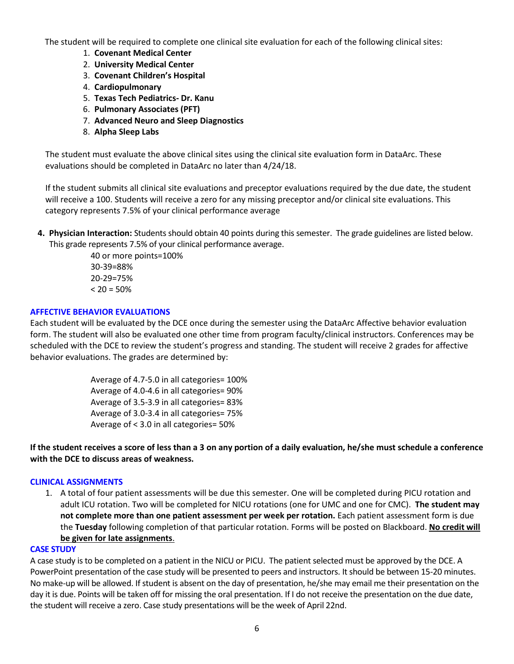The student will be required to complete one clinical site evaluation for each of the following clinical sites:

- 1. **Covenant Medical Center**
- 2. **University Medical Center**
- 3. **Covenant Children's Hospital**
- 4. **Cardiopulmonary**
- 5. **Texas Tech Pediatrics- Dr. Kanu**
- 6. **Pulmonary Associates (PFT)**
- 7. **Advanced Neuro and Sleep Diagnostics**
- 8. **Alpha Sleep Labs**

The student must evaluate the above clinical sites using the clinical site evaluation form in DataArc. These evaluations should be completed in DataArc no later than 4/24/18.

If the student submits all clinical site evaluations and preceptor evaluations required by the due date, the student will receive a 100. Students will receive a zero for any missing preceptor and/or clinical site evaluations. This category represents 7.5% of your clinical performance average

**4. Physician Interaction:** Students should obtain 40 points during this semester. The grade guidelines are listed below. This grade represents 7.5% of your clinical performance average.

> 40 or more points=100% 30-39=88% 20-29=75%  $< 20 = 50%$

# **AFFECTIVE BEHAVIOR EVALUATIONS**

Each student will be evaluated by the DCE once during the semester using the DataArc Affective behavior evaluation form. The student will also be evaluated one other time from program faculty/clinical instructors. Conferences may be scheduled with the DCE to review the student's progress and standing. The student will receive 2 grades for affective behavior evaluations. The grades are determined by:

> Average of 4.7-5.0 in all categories= 100% Average of 4.0-4.6 in all categories= 90% Average of 3.5-3.9 in all categories= 83% Average of 3.0-3.4 in all categories= 75% Average of < 3.0 in all categories= 50%

**If the student receives a score of less than a 3 on any portion of a daily evaluation, he/she must schedule a conference with the DCE to discuss areas of weakness.** 

# **CLINICAL ASSIGNMENTS**

1. A total of four patient assessments will be due this semester. One will be completed during PICU rotation and adult ICU rotation. Two will be completed for NICU rotations (one for UMC and one for CMC). **The student may not complete more than one patient assessment per week per rotation.** Each patient assessment form is due the **Tuesday** following completion of that particular rotation. Forms will be posted on Blackboard. **No credit will be given for late assignments**.

### **CASE STUDY**

A case study is to be completed on a patient in the NICU or PICU. The patient selected must be approved by the DCE. A PowerPoint presentation of the case study will be presented to peers and instructors. It should be between 15-20 minutes. No make-up will be allowed. If student is absent on the day of presentation, he/she may email me their presentation on the day it is due. Points will be taken off for missing the oral presentation. If I do not receive the presentation on the due date, the student will receive a zero. Case study presentations will be the week of April 22nd.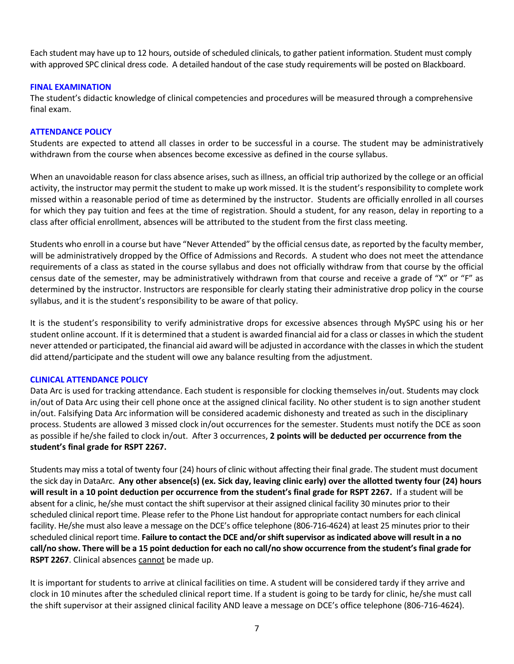Each student may have up to 12 hours, outside of scheduled clinicals, to gather patient information. Student must comply with approved SPC clinical dress code. A detailed handout of the case study requirements will be posted on Blackboard.

# **FINAL EXAMINATION**

The student's didactic knowledge of clinical competencies and procedures will be measured through a comprehensive final exam.

### **ATTENDANCE POLICY**

Students are expected to attend all classes in order to be successful in a course. The student may be administratively withdrawn from the course when absences become excessive as defined in the course syllabus.

When an unavoidable reason for class absence arises, such as illness, an official trip authorized by the college or an official activity, the instructor may permit the student to make up work missed. It is the student's responsibility to complete work missed within a reasonable period of time as determined by the instructor. Students are officially enrolled in all courses for which they pay tuition and fees at the time of registration. Should a student, for any reason, delay in reporting to a class after official enrollment, absences will be attributed to the student from the first class meeting.

Students who enroll in a course but have "Never Attended" by the official census date, as reported by the faculty member, will be administratively dropped by the Office of Admissions and Records. A student who does not meet the attendance requirements of a class as stated in the course syllabus and does not officially withdraw from that course by the official census date of the semester, may be administratively withdrawn from that course and receive a grade of "X" or "F" as determined by the instructor. Instructors are responsible for clearly stating their administrative drop policy in the course syllabus, and it is the student's responsibility to be aware of that policy.

It is the student's responsibility to verify administrative drops for excessive absences through MySPC using his or her student online account. If it is determined that a student is awarded financial aid for a class or classes in which the student never attended or participated, the financial aid award will be adjusted in accordance with the classes in which the student did attend/participate and the student will owe any balance resulting from the adjustment.

### **CLINICAL ATTENDANCE POLICY**

Data Arc is used for tracking attendance. Each student is responsible for clocking themselves in/out. Students may clock in/out of Data Arc using their cell phone once at the assigned clinical facility. No other student is to sign another student in/out. Falsifying Data Arc information will be considered academic dishonesty and treated as such in the disciplinary process. Students are allowed 3 missed clock in/out occurrences for the semester. Students must notify the DCE as soon as possible if he/she failed to clock in/out. After 3 occurrences, **2 points will be deducted per occurrence from the student's final grade for RSPT 2267.** 

Students may miss a total of twenty four (24) hours of clinic without affecting their final grade. The student must document the sick day in DataArc. **Any other absence(s) (ex. Sick day, leaving clinic early) over the allotted twenty four (24) hours will result in a 10 point deduction per occurrence from the student's final grade for RSPT 2267.** If a student will be absent for a clinic, he/she must contact the shift supervisor at their assigned clinical facility 30 minutes prior to their scheduled clinical report time. Please refer to the Phone List handout for appropriate contact numbers for each clinical facility. He/she must also leave a message on the DCE's office telephone (806-716-4624) at least 25 minutes prior to their scheduled clinical report time. **Failure to contact the DCE and/or shift supervisor as indicated above will result in a no call/no show. There will be a 15 point deduction for each no call/no show occurrence from the student's final grade for RSPT 2267**. Clinical absences cannot be made up.

It is important for students to arrive at clinical facilities on time. A student will be considered tardy if they arrive and clock in 10 minutes after the scheduled clinical report time. If a student is going to be tardy for clinic, he/she must call the shift supervisor at their assigned clinical facility AND leave a message on DCE's office telephone (806-716-4624).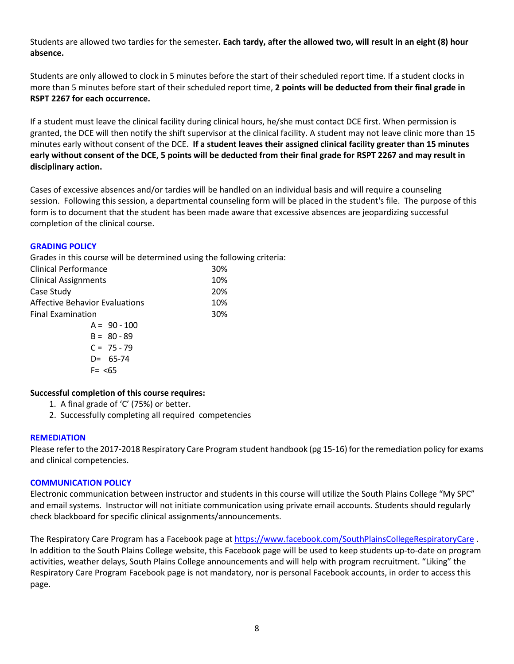Students are allowed two tardies for the semester**. Each tardy, after the allowed two, will result in an eight (8) hour absence.** 

Students are only allowed to clock in 5 minutes before the start of their scheduled report time. If a student clocks in more than 5 minutes before start of their scheduled report time, **2 points will be deducted from their final grade in RSPT 2267 for each occurrence.** 

If a student must leave the clinical facility during clinical hours, he/she must contact DCE first. When permission is granted, the DCE will then notify the shift supervisor at the clinical facility. A student may not leave clinic more than 15 minutes early without consent of the DCE. **If a student leaves their assigned clinical facility greater than 15 minutes early without consent of the DCE, 5 points will be deducted from their final grade for RSPT 2267 and may result in disciplinary action.** 

Cases of excessive absences and/or tardies will be handled on an individual basis and will require a counseling session. Following this session, a departmental counseling form will be placed in the student's file. The purpose of this form is to document that the student has been made aware that excessive absences are jeopardizing successful completion of the clinical course.

# **GRADING POLICY**

Grades in this course will be determined using the following criteria:

| Clinical Performance                  | 30% |
|---------------------------------------|-----|
| <b>Clinical Assignments</b>           | 10% |
| Case Study                            | 20% |
| <b>Affective Behavior Evaluations</b> | 10% |
| <b>Final Examination</b>              | 30% |
| $A = 90 - 100$                        |     |
| $B = 80 - 89$                         |     |
| $C = 75 - 79$                         |     |
| $D = 65 - 74$                         |     |
| $F = < 65$                            |     |

# **Successful completion of this course requires:**

- 1. A final grade of 'C' (75%) or better.
- 2. Successfully completing all required competencies

# **REMEDIATION**

Please refer to the 2017-2018 Respiratory Care Program student handbook (pg 15-16) for the remediation policy for exams and clinical competencies.

# **COMMUNICATION POLICY**

Electronic communication between instructor and students in this course will utilize the South Plains College "My SPC" and email systems. Instructor will not initiate communication using private email accounts. Students should regularly check blackboard for specific clinical assignments/announcements.

The Respiratory Care Program has a Facebook page at <https://www.facebook.com/SouthPlainsCollegeRespiratoryCare> . In addition to the South Plains College website, this Facebook page will be used to keep students up-to-date on program activities, weather delays, South Plains College announcements and will help with program recruitment. "Liking" the Respiratory Care Program Facebook page is not mandatory, nor is personal Facebook accounts, in order to access this page.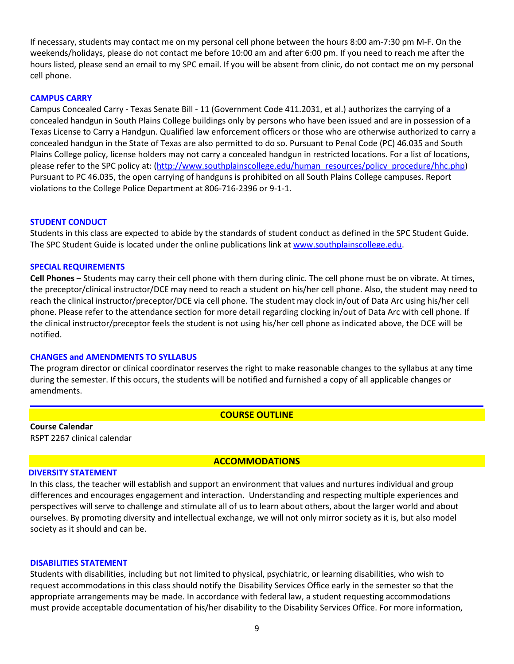If necessary, students may contact me on my personal cell phone between the hours 8:00 am-7:30 pm M-F. On the weekends/holidays, please do not contact me before 10:00 am and after 6:00 pm. If you need to reach me after the hours listed, please send an email to my SPC email. If you will be absent from clinic, do not contact me on my personal cell phone.

### **CAMPUS CARRY**

Campus Concealed Carry - Texas Senate Bill - 11 (Government Code 411.2031, et al.) authorizes the carrying of a concealed handgun in South Plains College buildings only by persons who have been issued and are in possession of a Texas License to Carry a Handgun. Qualified law enforcement officers or those who are otherwise authorized to carry a concealed handgun in the State of Texas are also permitted to do so. Pursuant to Penal Code (PC) 46.035 and South Plains College policy, license holders may not carry a concealed handgun in restricted locations. For a list of locations, please refer to the SPC policy at: [\(http://www.southplainscollege.edu/human\\_resources/policy\\_procedure/hhc.php\)](http://www.southplainscollege.edu/human_resources/policy_procedure/hhc.php) Pursuant to PC 46.035, the open carrying of handguns is prohibited on all South Plains College campuses. Report violations to the College Police Department at 806-716-2396 or 9-1-1.

### **STUDENT CONDUCT**

Students in this class are expected to abide by the standards of student conduct as defined in the SPC Student Guide. The SPC Student Guide is located under the online publications link at [www.southplainscollege.edu.](http://www.southplainscollege.edu/)

### **SPECIAL REQUIREMENTS**

**Cell Phones** – Students may carry their cell phone with them during clinic. The cell phone must be on vibrate. At times, the preceptor/clinical instructor/DCE may need to reach a student on his/her cell phone. Also, the student may need to reach the clinical instructor/preceptor/DCE via cell phone. The student may clock in/out of Data Arc using his/her cell phone. Please refer to the attendance section for more detail regarding clocking in/out of Data Arc with cell phone. If the clinical instructor/preceptor feels the student is not using his/her cell phone as indicated above, the DCE will be notified.

### **CHANGES and AMENDMENTS TO SYLLABUS**

The program director or clinical coordinator reserves the right to make reasonable changes to the syllabus at any time during the semester. If this occurs, the students will be notified and furnished a copy of all applicable changes or amendments.

### **COURSE OUTLINE**

**Course Calendar** RSPT 2267 clinical calendar

# **ACCOMMODATIONS**

### **DIVERSITY STATEMENT**

In this class, the teacher will establish and support an environment that values and nurtures individual and group differences and encourages engagement and interaction. Understanding and respecting multiple experiences and perspectives will serve to challenge and stimulate all of us to learn about others, about the larger world and about ourselves. By promoting diversity and intellectual exchange, we will not only mirror society as it is, but also model society as it should and can be.

### **DISABILITIES STATEMENT**

Students with disabilities, including but not limited to physical, psychiatric, or learning disabilities, who wish to request accommodations in this class should notify the Disability Services Office early in the semester so that the appropriate arrangements may be made. In accordance with federal law, a student requesting accommodations must provide acceptable documentation of his/her disability to the Disability Services Office. For more information,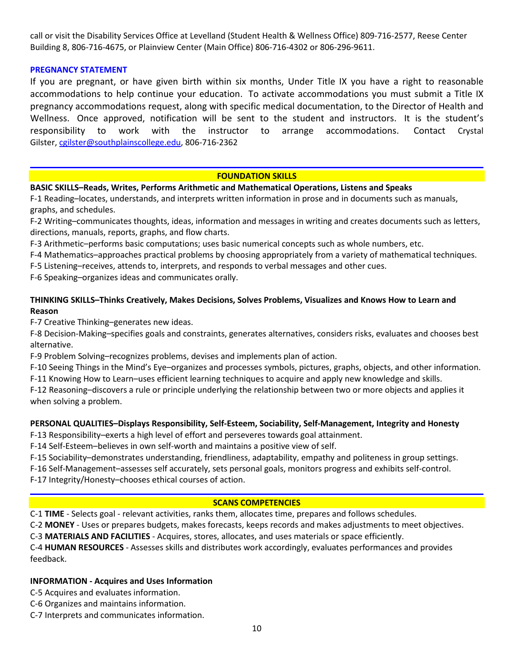call or visit the Disability Services Office at Levelland (Student Health & Wellness Office) 809-716-2577, Reese Center Building 8, 806-716-4675, or Plainview Center (Main Office) 806-716-4302 or 806-296-9611.

# **PREGNANCY STATEMENT**

If you are pregnant, or have given birth within six months, Under Title IX you have a right to reasonable accommodations to help continue your education. To activate accommodations you must submit a Title IX pregnancy accommodations request, along with specific medical documentation, to the Director of Health and Wellness. Once approved, notification will be sent to the student and instructors. It is the student's responsibility to work with the instructor to arrange accommodations. Contact Crystal Gilster[, cgilster@southplainscollege.edu,](mailto:cgilster@southplainscollege.edu) 806-716-2362

### **FOUNDATION SKILLS**

### **BASIC SKILLS–Reads, Writes, Performs Arithmetic and Mathematical Operations, Listens and Speaks**

F-1 Reading–locates, understands, and interprets written information in prose and in documents such as manuals, graphs, and schedules.

F-2 Writing–communicates thoughts, ideas, information and messages in writing and creates documents such as letters, directions, manuals, reports, graphs, and flow charts.

F-3 Arithmetic–performs basic computations; uses basic numerical concepts such as whole numbers, etc.

F-4 Mathematics–approaches practical problems by choosing appropriately from a variety of mathematical techniques.

F-5 Listening–receives, attends to, interprets, and responds to verbal messages and other cues.

F-6 Speaking–organizes ideas and communicates orally.

# **THINKING SKILLS–Thinks Creatively, Makes Decisions, Solves Problems, Visualizes and Knows How to Learn and Reason**

F-7 Creative Thinking–generates new ideas.

F-8 Decision-Making–specifies goals and constraints, generates alternatives, considers risks, evaluates and chooses best alternative.

F-9 Problem Solving–recognizes problems, devises and implements plan of action.

F-10 Seeing Things in the Mind's Eye–organizes and processes symbols, pictures, graphs, objects, and other information.

F-11 Knowing How to Learn–uses efficient learning techniques to acquire and apply new knowledge and skills.

F-12 Reasoning–discovers a rule or principle underlying the relationship between two or more objects and applies it when solving a problem.

### **PERSONAL QUALITIES–Displays Responsibility, Self-Esteem, Sociability, Self-Management, Integrity and Honesty**

F-13 Responsibility–exerts a high level of effort and perseveres towards goal attainment.

F-14 Self-Esteem–believes in own self-worth and maintains a positive view of self.

F-15 Sociability–demonstrates understanding, friendliness, adaptability, empathy and politeness in group settings.

F-16 Self-Management–assesses self accurately, sets personal goals, monitors progress and exhibits self-control.

F-17 Integrity/Honesty–chooses ethical courses of action.

# **SCANS COMPETENCIES**

C-1 **TIME** - Selects goal - relevant activities, ranks them, allocates time, prepares and follows schedules.

C-2 **MONEY** - Uses or prepares budgets, makes forecasts, keeps records and makes adjustments to meet objectives.

C-3 **MATERIALS AND FACILITIES** - Acquires, stores, allocates, and uses materials or space efficiently.

C-4 **HUMAN RESOURCES** - Assesses skills and distributes work accordingly, evaluates performances and provides feedback.

# **INFORMATION - Acquires and Uses Information**

C-5 Acquires and evaluates information.

- C-6 Organizes and maintains information.
- C-7 Interprets and communicates information.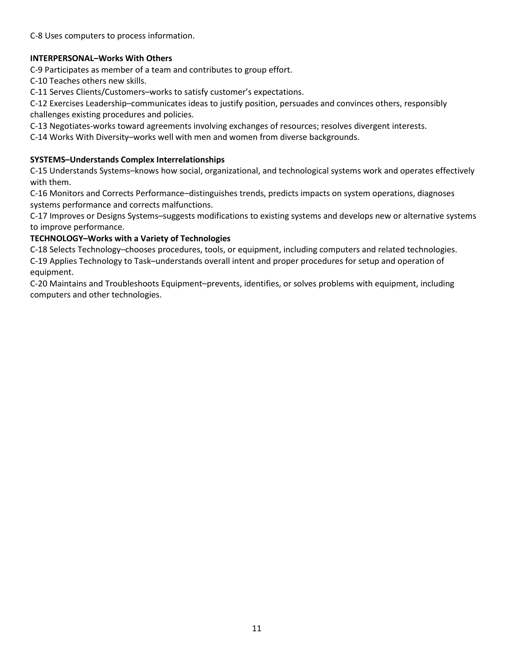C-8 Uses computers to process information.

# **INTERPERSONAL–Works With Others**

C-9 Participates as member of a team and contributes to group effort.

C-10 Teaches others new skills.

C-11 Serves Clients/Customers–works to satisfy customer's expectations.

C-12 Exercises Leadership–communicates ideas to justify position, persuades and convinces others, responsibly challenges existing procedures and policies.

C-13 Negotiates-works toward agreements involving exchanges of resources; resolves divergent interests.

C-14 Works With Diversity–works well with men and women from diverse backgrounds.

# **SYSTEMS–Understands Complex Interrelationships**

C-15 Understands Systems–knows how social, organizational, and technological systems work and operates effectively with them.

C-16 Monitors and Corrects Performance–distinguishes trends, predicts impacts on system operations, diagnoses systems performance and corrects malfunctions.

C-17 Improves or Designs Systems–suggests modifications to existing systems and develops new or alternative systems to improve performance.

# **TECHNOLOGY–Works with a Variety of Technologies**

C-18 Selects Technology–chooses procedures, tools, or equipment, including computers and related technologies. C-19 Applies Technology to Task–understands overall intent and proper procedures for setup and operation of equipment.

C-20 Maintains and Troubleshoots Equipment–prevents, identifies, or solves problems with equipment, including computers and other technologies.